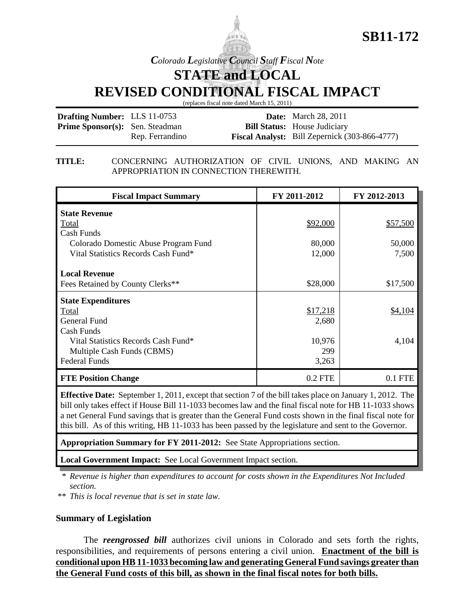



*Colorado Legislative Council Staff Fiscal Note*

**STATE and LOCAL**

**REVISED CONDITIONAL FISCAL IMPACT**

(replaces fiscal note dated March 15, 2011)

| <b>Drafting Number: LLS 11-0753</b>    |                 | <b>Date:</b> March 28, 2011                          |
|----------------------------------------|-----------------|------------------------------------------------------|
| <b>Prime Sponsor(s):</b> Sen. Steadman |                 | <b>Bill Status:</b> House Judiciary                  |
|                                        | Rep. Ferrandino | <b>Fiscal Analyst:</b> Bill Zepernick (303-866-4777) |

**TITLE:** CONCERNING AUTHORIZATION OF CIVIL UNIONS, AND MAKING AN APPROPRIATION IN CONNECTION THEREWITH.

| <b>Fiscal Impact Summary</b>         | FY 2011-2012 | FY 2012-2013 |
|--------------------------------------|--------------|--------------|
| <b>State Revenue</b>                 |              |              |
| Total                                | \$92,000     | \$57,500     |
| Cash Funds                           |              |              |
| Colorado Domestic Abuse Program Fund | 80,000       | 50,000       |
| Vital Statistics Records Cash Fund*  | 12,000       | 7,500        |
|                                      |              |              |
| <b>Local Revenue</b>                 |              |              |
| Fees Retained by County Clerks**     | \$28,000     | \$17,500     |
| <b>State Expenditures</b>            |              |              |
| Total                                | \$17,218     | \$4,104      |
| General Fund                         | 2,680        |              |
| Cash Funds                           |              |              |
| Vital Statistics Records Cash Fund*  | 10,976       | 4,104        |
| Multiple Cash Funds (CBMS)           | 299          |              |
| <b>Federal Funds</b>                 | 3,263        |              |
| <b>FTE Position Change</b>           | $0.2$ FTE    | $0.1$ FTE    |

**Effective Date:** September 1, 2011, except that section 7 of the bill takes place on January 1, 2012. The bill only takes effect if House Bill 11-1033 becomes law and the final fiscal note for HB 11-1033 shows a net General Fund savings that is greater than the General Fund costs shown in the final fiscal note for this bill. As of this writing, HB 11-1033 has been passed by the legislature and sent to the Governor.

**Appropriation Summary for FY 2011-2012:** See State Appropriations section.

**Local Government Impact:** See Local Government Impact section.

\* *Revenue is higher than expenditures to account for costs shown in the Expenditures Not Included section.*

\*\* *This is local revenue that is set in state law.*

## **Summary of Legislation**

The *reengrossed bill* authorizes civil unions in Colorado and sets forth the rights, responsibilities, and requirements of persons entering a civil union. **Enactment of the bill is conditional upon HB 11-1033 becoming law and generating General Fund savings greater than the General Fund costs of this bill, as shown in the final fiscal notes for both bills.**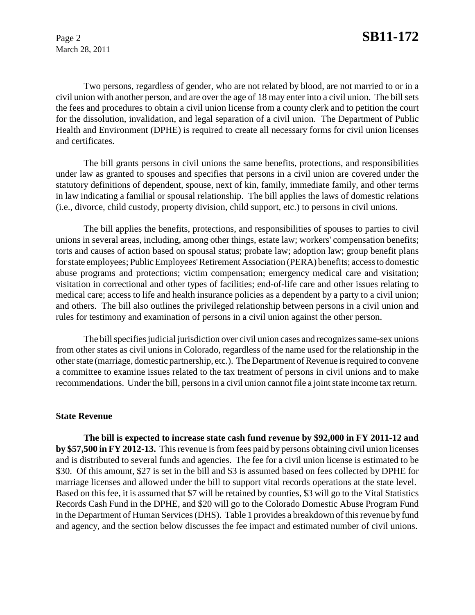Two persons, regardless of gender, who are not related by blood, are not married to or in a civil union with another person, and are over the age of 18 may enter into a civil union. The bill sets the fees and procedures to obtain a civil union license from a county clerk and to petition the court for the dissolution, invalidation, and legal separation of a civil union. The Department of Public Health and Environment (DPHE) is required to create all necessary forms for civil union licenses and certificates.

The bill grants persons in civil unions the same benefits, protections, and responsibilities under law as granted to spouses and specifies that persons in a civil union are covered under the statutory definitions of dependent, spouse, next of kin, family, immediate family, and other terms in law indicating a familial or spousal relationship. The bill applies the laws of domestic relations (i.e., divorce, child custody, property division, child support, etc.) to persons in civil unions.

The bill applies the benefits, protections, and responsibilities of spouses to parties to civil unions in several areas, including, among other things, estate law; workers' compensation benefits; torts and causes of action based on spousal status; probate law; adoption law; group benefit plans for state employees; Public Employees' Retirement Association (PERA) benefits; access to domestic abuse programs and protections; victim compensation; emergency medical care and visitation; visitation in correctional and other types of facilities; end-of-life care and other issues relating to medical care; access to life and health insurance policies as a dependent by a party to a civil union; and others. The bill also outlines the privileged relationship between persons in a civil union and rules for testimony and examination of persons in a civil union against the other person.

The bill specifies judicial jurisdiction over civil union cases and recognizes same-sex unions from other states as civil unions in Colorado, regardless of the name used for the relationship in the other state (marriage, domestic partnership, etc.). The Department of Revenue is required to convene a committee to examine issues related to the tax treatment of persons in civil unions and to make recommendations. Under the bill, persons in a civil union cannot file a joint state income tax return.

### **State Revenue**

**The bill is expected to increase state cash fund revenue by \$92,000 in FY 2011-12 and by \$57,500 in FY 2012-13.** This revenue is from fees paid by persons obtaining civil union licenses and is distributed to several funds and agencies. The fee for a civil union license is estimated to be \$30. Of this amount, \$27 is set in the bill and \$3 is assumed based on fees collected by DPHE for marriage licenses and allowed under the bill to support vital records operations at the state level. Based on this fee, it is assumed that \$7 will be retained by counties, \$3 will go to the Vital Statistics Records Cash Fund in the DPHE, and \$20 will go to the Colorado Domestic Abuse Program Fund in the Department of Human Services (DHS). Table 1 provides a breakdown of this revenue by fund and agency, and the section below discusses the fee impact and estimated number of civil unions.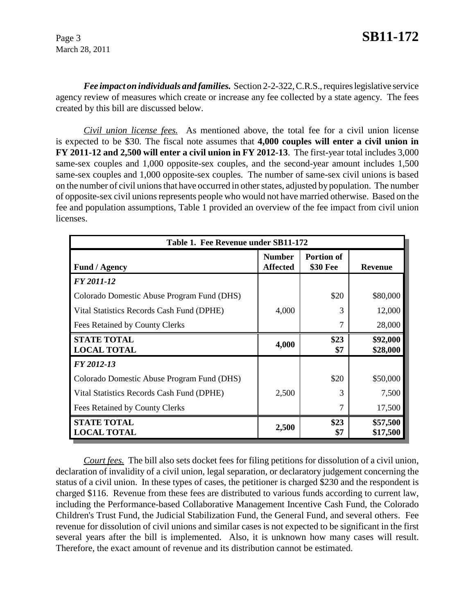*Fee impact on individuals and families.* Section 2-2-322, C.R.S., requires legislative service agency review of measures which create or increase any fee collected by a state agency. The fees created by this bill are discussed below.

*Civil union license fees.* As mentioned above, the total fee for a civil union license is expected to be \$30*.* The fiscal note assumes that **4,000 couples will enter a civil union in FY 2011-12 and 2,500 will enter a civil union in FY 2012-13**. The first-year total includes 3,000 same-sex couples and 1,000 opposite-sex couples, and the second-year amount includes 1,500 same-sex couples and 1,000 opposite-sex couples. The number of same-sex civil unions is based on the number of civil unions that have occurred in other states, adjusted by population. The number of opposite-sex civil unions represents people who would not have married otherwise. Based on the fee and population assumptions, Table 1 provided an overview of the fee impact from civil union licenses.

| Table 1. Fee Revenue under SB11-172        |                                  |                               |                      |  |
|--------------------------------------------|----------------------------------|-------------------------------|----------------------|--|
| <b>Fund / Agency</b>                       | <b>Number</b><br><b>Affected</b> | <b>Portion of</b><br>\$30 Fee | <b>Revenue</b>       |  |
| FY 2011-12                                 |                                  |                               |                      |  |
| Colorado Domestic Abuse Program Fund (DHS) |                                  | \$20                          | \$80,000             |  |
| Vital Statistics Records Cash Fund (DPHE)  | 4,000                            | 3                             | 12,000               |  |
| Fees Retained by County Clerks             |                                  | 7                             | 28,000               |  |
| <b>STATE TOTAL</b><br><b>LOCAL TOTAL</b>   | 4,000                            | \$23<br>\$7                   | \$92,000<br>\$28,000 |  |
| FY 2012-13                                 |                                  |                               |                      |  |
| Colorado Domestic Abuse Program Fund (DHS) |                                  | \$20                          | \$50,000             |  |
| Vital Statistics Records Cash Fund (DPHE)  | 2,500                            | 3                             | 7,500                |  |
| Fees Retained by County Clerks             |                                  | 7                             | 17,500               |  |
| <b>STATE TOTAL</b><br><b>LOCAL TOTAL</b>   | 2,500                            | \$23<br>\$7                   | \$57,500<br>\$17,500 |  |

*Court fees.* The bill also sets docket fees for filing petitions for dissolution of a civil union, declaration of invalidity of a civil union, legal separation, or declaratory judgement concerning the status of a civil union. In these types of cases, the petitioner is charged \$230 and the respondent is charged \$116. Revenue from these fees are distributed to various funds according to current law, including the Performance-based Collaborative Management Incentive Cash Fund, the Colorado Children's Trust Fund, the Judicial Stabilization Fund, the General Fund, and several others. Fee revenue for dissolution of civil unions and similar cases is not expected to be significant in the first several years after the bill is implemented. Also, it is unknown how many cases will result. Therefore, the exact amount of revenue and its distribution cannot be estimated.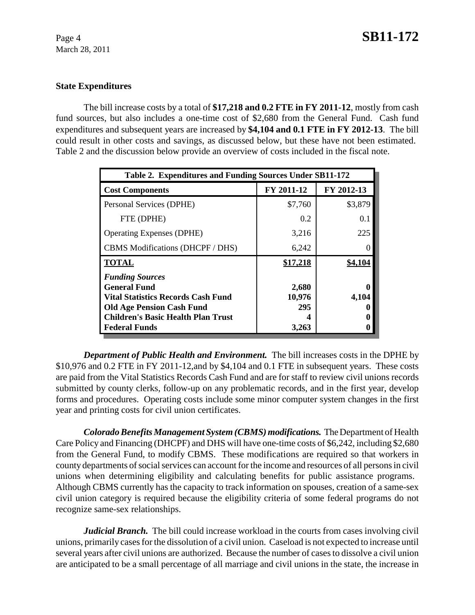## **State Expenditures**

The bill increase costs by a total of **\$17,218 and 0.2 FTE in FY 2011-12**, mostly from cash fund sources, but also includes a one-time cost of \$2,680 from the General Fund. Cash fund expenditures and subsequent years are increased by **\$4,104 and 0.1 FTE in FY 2012-13**. The bill could result in other costs and savings, as discussed below, but these have not been estimated. Table 2 and the discussion below provide an overview of costs included in the fiscal note.

| Table 2. Expenditures and Funding Sources Under SB11-172                                                                                                                                            |                                 |            |  |  |  |
|-----------------------------------------------------------------------------------------------------------------------------------------------------------------------------------------------------|---------------------------------|------------|--|--|--|
| <b>Cost Components</b>                                                                                                                                                                              | FY 2011-12                      | FY 2012-13 |  |  |  |
| Personal Services (DPHE)                                                                                                                                                                            | \$7,760                         | \$3,879    |  |  |  |
| FTE (DPHE)                                                                                                                                                                                          | 0.2                             | 0.1        |  |  |  |
| <b>Operating Expenses (DPHE)</b>                                                                                                                                                                    | 3,216                           | 225        |  |  |  |
| CBMS Modifications (DHCPF / DHS)                                                                                                                                                                    | 6,242                           |            |  |  |  |
| <b>TOTAL</b>                                                                                                                                                                                        | \$17,218                        | \$4,104    |  |  |  |
| <b>Funding Sources</b><br><b>General Fund</b><br><b>Vital Statistics Records Cash Fund</b><br><b>Old Age Pension Cash Fund</b><br><b>Children's Basic Health Plan Trust</b><br><b>Federal Funds</b> | 2,680<br>10,976<br>295<br>3,263 | 4,104      |  |  |  |

*Department of Public Health and Environment.* The bill increases costs in the DPHE by \$10,976 and 0.2 FTE in FY 2011-12,and by \$4,104 and 0.1 FTE in subsequent years. These costs are paid from the Vital Statistics Records Cash Fund and are for staff to review civil unions records submitted by county clerks, follow-up on any problematic records, and in the first year, develop forms and procedures. Operating costs include some minor computer system changes in the first year and printing costs for civil union certificates.

*Colorado Benefits Management System (CBMS) modifications.* The Department of Health Care Policy and Financing (DHCPF) and DHS will have one-time costs of \$6,242, including \$2,680 from the General Fund, to modify CBMS. These modifications are required so that workers in county departments of social services can account for the income and resources of all persons in civil unions when determining eligibility and calculating benefits for public assistance programs. Although CBMS currently has the capacity to track information on spouses, creation of a same-sex civil union category is required because the eligibility criteria of some federal programs do not recognize same-sex relationships.

*Judicial Branch.* The bill could increase workload in the courts from cases involving civil unions, primarily cases for the dissolution of a civil union. Caseload is not expected to increase until several years after civil unions are authorized. Because the number of cases to dissolve a civil union are anticipated to be a small percentage of all marriage and civil unions in the state, the increase in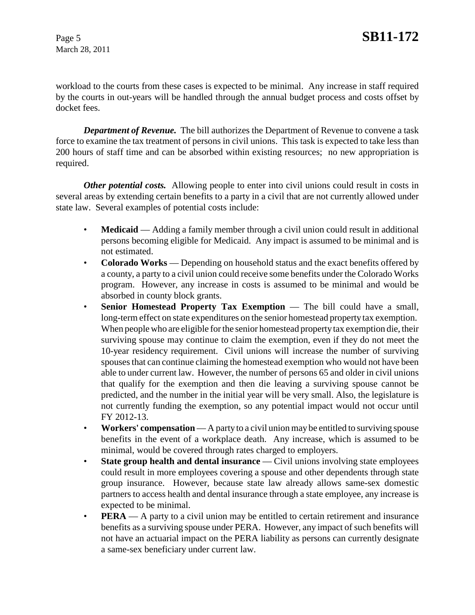workload to the courts from these cases is expected to be minimal. Any increase in staff required by the courts in out-years will be handled through the annual budget process and costs offset by docket fees.

*Department of Revenue.* The bill authorizes the Department of Revenue to convene a task force to examine the tax treatment of persons in civil unions. This task is expected to take less than 200 hours of staff time and can be absorbed within existing resources; no new appropriation is required.

*Other potential costs.* Allowing people to enter into civil unions could result in costs in several areas by extending certain benefits to a party in a civil that are not currently allowed under state law. Several examples of potential costs include:

- **Medicaid** Adding a family member through a civil union could result in additional persons becoming eligible for Medicaid. Any impact is assumed to be minimal and is not estimated.
- **Colorado Works** Depending on household status and the exact benefits offered by a county, a party to a civil union could receive some benefits under the Colorado Works program. However, any increase in costs is assumed to be minimal and would be absorbed in county block grants.
- **Senior Homestead Property Tax Exemption** The bill could have a small, long-term effect on state expenditures on the senior homestead property tax exemption. When people who are eligible for the senior homestead property tax exemption die, their surviving spouse may continue to claim the exemption, even if they do not meet the 10-year residency requirement. Civil unions will increase the number of surviving spouses that can continue claiming the homestead exemption who would not have been able to under current law. However, the number of persons 65 and older in civil unions that qualify for the exemption and then die leaving a surviving spouse cannot be predicted, and the number in the initial year will be very small. Also, the legislature is not currently funding the exemption, so any potential impact would not occur until FY 2012-13.
- **Workers' compensation** A party to a civil union may be entitled to surviving spouse benefits in the event of a workplace death. Any increase, which is assumed to be minimal, would be covered through rates charged to employers.
- **State group health and dental insurance** Civil unions involving state employees could result in more employees covering a spouse and other dependents through state group insurance. However, because state law already allows same-sex domestic partners to access health and dental insurance through a state employee, any increase is expected to be minimal.
- **PERA** A party to a civil union may be entitled to certain retirement and insurance benefits as a surviving spouse under PERA. However, any impact of such benefits will not have an actuarial impact on the PERA liability as persons can currently designate a same-sex beneficiary under current law.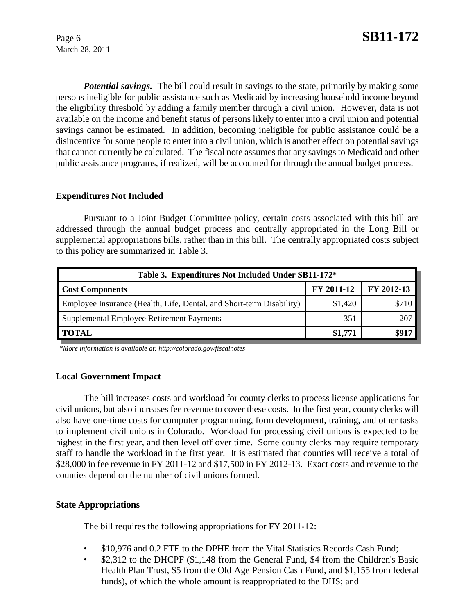*Potential savings.* The bill could result in savings to the state, primarily by making some persons ineligible for public assistance such as Medicaid by increasing household income beyond the eligibility threshold by adding a family member through a civil union. However, data is not available on the income and benefit status of persons likely to enter into a civil union and potential savings cannot be estimated. In addition, becoming ineligible for public assistance could be a disincentive for some people to enter into a civil union, which is another effect on potential savings that cannot currently be calculated. The fiscal note assumes that any savings to Medicaid and other public assistance programs, if realized, will be accounted for through the annual budget process.

## **Expenditures Not Included**

Pursuant to a Joint Budget Committee policy, certain costs associated with this bill are addressed through the annual budget process and centrally appropriated in the Long Bill or supplemental appropriations bills, rather than in this bill. The centrally appropriated costs subject to this policy are summarized in Table 3.

| Table 3. Expenditures Not Included Under SB11-172*                   |                   |            |  |  |
|----------------------------------------------------------------------|-------------------|------------|--|--|
| <b>Cost Components</b>                                               | <b>FY 2011-12</b> | FY 2012-13 |  |  |
| Employee Insurance (Health, Life, Dental, and Short-term Disability) | \$1,420           |            |  |  |
| Supplemental Employee Retirement Payments                            | 351               | 207        |  |  |
| <b>TOTAL</b>                                                         | \$1,771           |            |  |  |

 *\*More information is available at: http://colorado.gov/fiscalnotes*

### **Local Government Impact**

The bill increases costs and workload for county clerks to process license applications for civil unions, but also increases fee revenue to cover these costs. In the first year, county clerks will also have one-time costs for computer programming, form development, training, and other tasks to implement civil unions in Colorado. Workload for processing civil unions is expected to be highest in the first year, and then level off over time. Some county clerks may require temporary staff to handle the workload in the first year. It is estimated that counties will receive a total of \$28,000 in fee revenue in FY 2011-12 and \$17,500 in FY 2012-13. Exact costs and revenue to the counties depend on the number of civil unions formed.

### **State Appropriations**

The bill requires the following appropriations for FY 2011-12:

- \$10,976 and 0.2 FTE to the DPHE from the Vital Statistics Records Cash Fund;
- \$2,312 to the DHCPF (\$1,148 from the General Fund, \$4 from the Children's Basic Health Plan Trust, \$5 from the Old Age Pension Cash Fund, and \$1,155 from federal funds), of which the whole amount is reappropriated to the DHS; and